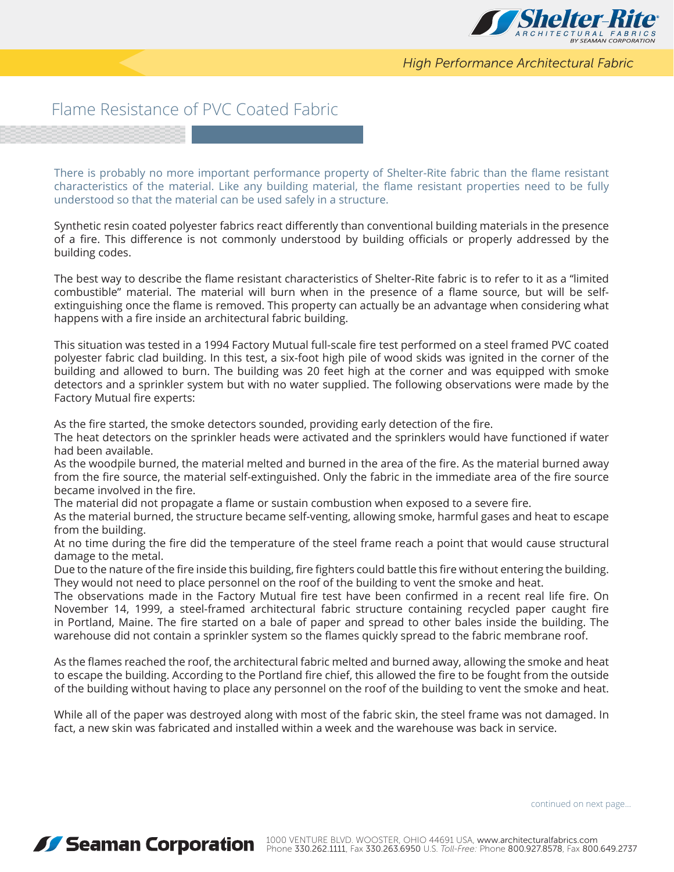

*High Performance Architectural Fabric*

## Flame Resistance of PVC Coated Fabric

There is probably no more important performance property of Shelter-Rite fabric than the flame resistant characteristics of the material. Like any building material, the flame resistant properties need to be fully understood so that the material can be used safely in a structure.

Synthetic resin coated polyester fabrics react differently than conventional building materials in the presence of a fire. This difference is not commonly understood by building officials or properly addressed by the building codes.

The best way to describe the flame resistant characteristics of Shelter-Rite fabric is to refer to it as a "limited combustible" material. The material will burn when in the presence of a flame source, but will be selfextinguishing once the flame is removed. This property can actually be an advantage when considering what happens with a fire inside an architectural fabric building.

This situation was tested in a 1994 Factory Mutual full-scale fire test performed on a steel framed PVC coated polyester fabric clad building. In this test, a six-foot high pile of wood skids was ignited in the corner of the building and allowed to burn. The building was 20 feet high at the corner and was equipped with smoke detectors and a sprinkler system but with no water supplied. The following observations were made by the Factory Mutual fire experts:

As the fire started, the smoke detectors sounded, providing early detection of the fire.

The heat detectors on the sprinkler heads were activated and the sprinklers would have functioned if water had been available.

As the woodpile burned, the material melted and burned in the area of the fire. As the material burned away from the fire source, the material self-extinguished. Only the fabric in the immediate area of the fire source became involved in the fire.

The material did not propagate a flame or sustain combustion when exposed to a severe fire.

As the material burned, the structure became self-venting, allowing smoke, harmful gases and heat to escape from the building.

At no time during the fire did the temperature of the steel frame reach a point that would cause structural damage to the metal.

Due to the nature of the fire inside this building, fire fighters could battle this fire without entering the building. They would not need to place personnel on the roof of the building to vent the smoke and heat.

The observations made in the Factory Mutual fire test have been confirmed in a recent real life fire. On November 14, 1999, a steel-framed architectural fabric structure containing recycled paper caught fire in Portland, Maine. The fire started on a bale of paper and spread to other bales inside the building. The warehouse did not contain a sprinkler system so the flames quickly spread to the fabric membrane roof.

As the flames reached the roof, the architectural fabric melted and burned away, allowing the smoke and heat to escape the building. According to the Portland fire chief, this allowed the fire to be fought from the outside of the building without having to place any personnel on the roof of the building to vent the smoke and heat.

While all of the paper was destroyed along with most of the fabric skin, the steel frame was not damaged. In fact, a new skin was fabricated and installed within a week and the warehouse was back in service.

continued on next page...